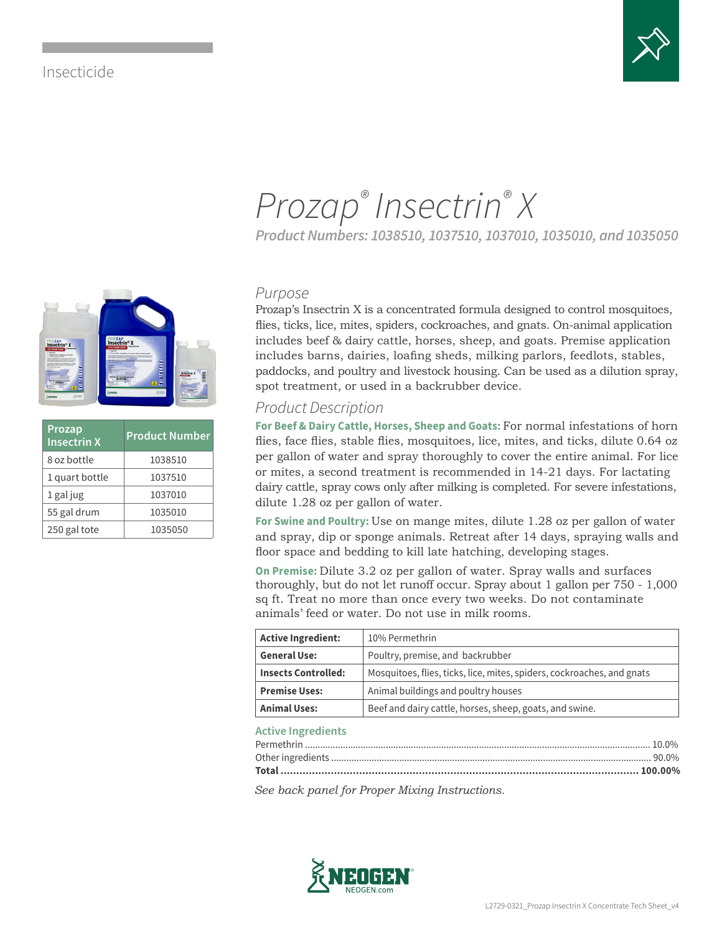# Insecticide

**Prozap**

**Insectrin X Product Number** 8 oz bottle 1038510 1 quart bottle 1037510 1 gal jug 1037010 55 gal drum 1035010 250 gal tote | 1035050



# *Prozap® Insectrin® X*

*Product Numbers: 1038510, 1037510, 1037010, 1035010, and 1035050*

### *Purpose*

Prozap's Insectrin X is a concentrated formula designed to control mosquitoes, flies, ticks, lice, mites, spiders, cockroaches, and gnats. On-animal application includes beef & dairy cattle, horses, sheep, and goats. Premise application includes barns, dairies, loafing sheds, milking parlors, feedlots, stables, paddocks, and poultry and livestock housing. Can be used as a dilution spray, spot treatment, or used in a backrubber device.

## *Product Description*

**For Beef & Dairy Cattle, Horses, Sheep and Goats:** For normal infestations of horn flies, face flies, stable flies, mosquitoes, lice, mites, and ticks, dilute 0.64 oz per gallon of water and spray thoroughly to cover the entire animal. For lice or mites, a second treatment is recommended in 14-21 days. For lactating dairy cattle, spray cows only after milking is completed. For severe infestations, dilute 1.28 oz per gallon of water.

**For Swine and Poultry:** Use on mange mites, dilute 1.28 oz per gallon of water and spray, dip or sponge animals. Retreat after 14 days, spraying walls and floor space and bedding to kill late hatching, developing stages.

**On Premise:** Dilute 3.2 oz per gallon of water. Spray walls and surfaces thoroughly, but do not let runoff occur. Spray about 1 gallon per 750 - 1,000 sq ft. Treat no more than once every two weeks. Do not contaminate animals' feed or water. Do not use in milk rooms.

| <b>Active Ingredient:</b>  | 10% Permethrin                                                         |  |
|----------------------------|------------------------------------------------------------------------|--|
| <b>General Use:</b>        | Poultry, premise, and backrubber                                       |  |
| <b>Insects Controlled:</b> | Mosquitoes, flies, ticks, lice, mites, spiders, cockroaches, and gnats |  |
| <b>Premise Uses:</b>       | Animal buildings and poultry houses                                    |  |
| <b>Animal Uses:</b>        | Beef and dairy cattle, horses, sheep, goats, and swine.                |  |

#### **Active Ingredients**

*See back panel for Proper Mixing Instructions.*